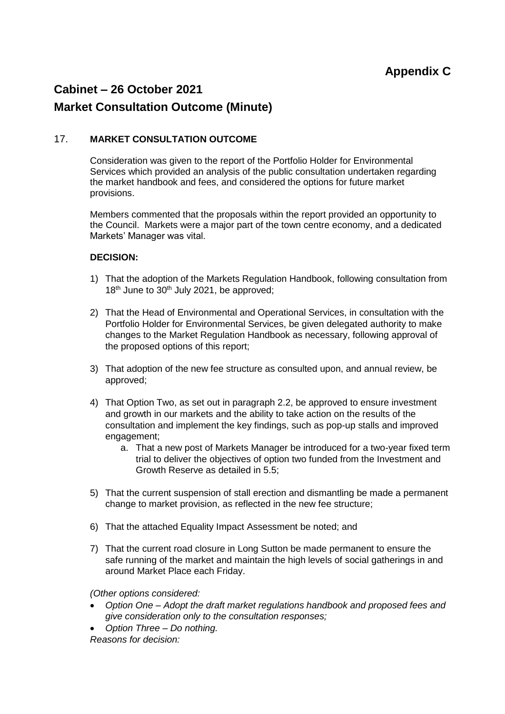## **Cabinet – 26 October 2021**

## **Market Consultation Outcome (Minute)**

## 17. **MARKET CONSULTATION OUTCOME**

Consideration was given to the report of the Portfolio Holder for Environmental Services which provided an analysis of the public consultation undertaken regarding the market handbook and fees, and considered the options for future market provisions.

Members commented that the proposals within the report provided an opportunity to the Council. Markets were a major part of the town centre economy, and a dedicated Markets' Manager was vital.

## **DECISION:**

- 1) That the adoption of the Markets Regulation Handbook, following consultation from 18<sup>th</sup> June to 30<sup>th</sup> July 2021, be approved;
- 2) That the Head of Environmental and Operational Services, in consultation with the Portfolio Holder for Environmental Services, be given delegated authority to make changes to the Market Regulation Handbook as necessary, following approval of the proposed options of this report;
- 3) That adoption of the new fee structure as consulted upon, and annual review, be approved;
- 4) That Option Two, as set out in paragraph 2.2, be approved to ensure investment and growth in our markets and the ability to take action on the results of the consultation and implement the key findings, such as pop-up stalls and improved engagement;
	- a. That a new post of Markets Manager be introduced for a two-year fixed term trial to deliver the objectives of option two funded from the Investment and Growth Reserve as detailed in 5.5;
- 5) That the current suspension of stall erection and dismantling be made a permanent change to market provision, as reflected in the new fee structure;
- 6) That the attached Equality Impact Assessment be noted; and
- 7) That the current road closure in Long Sutton be made permanent to ensure the safe running of the market and maintain the high levels of social gatherings in and around Market Place each Friday.

*(Other options considered:*

- *Option One – Adopt the draft market regulations handbook and proposed fees and give consideration only to the consultation responses;*
- *Option Three – Do nothing. Reasons for decision:*